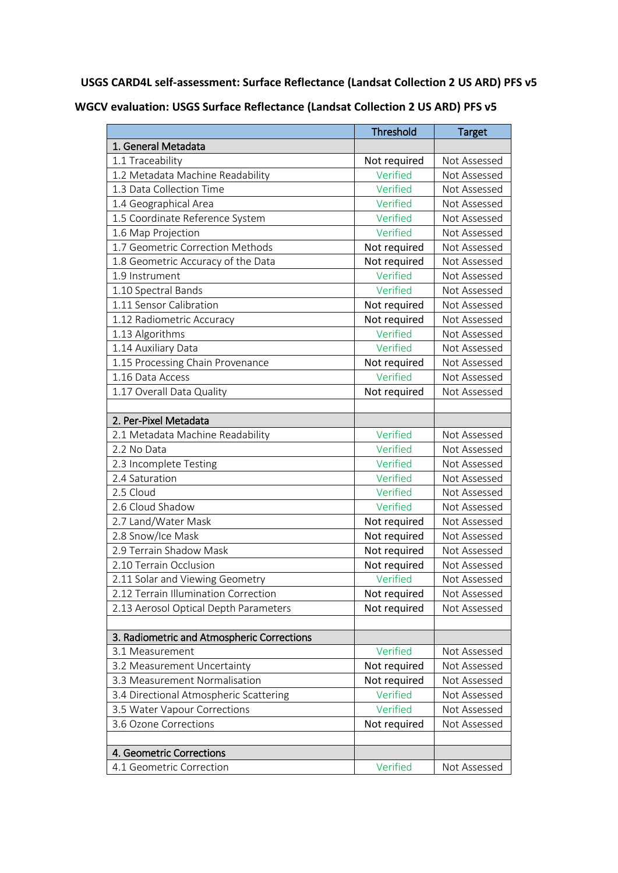**USGS CARD4L self-assessment: Surface Reflectance (Landsat Collection 2 US ARD) PFS v5**

**WGCV evaluation: USGS Surface Reflectance (Landsat Collection 2 US ARD) PFS v5**

|                                            | <b>Threshold</b> | <b>Target</b> |
|--------------------------------------------|------------------|---------------|
| 1. General Metadata                        |                  |               |
| 1.1 Traceability                           | Not required     | Not Assessed  |
| 1.2 Metadata Machine Readability           | Verified         | Not Assessed  |
| 1.3 Data Collection Time                   | Verified         | Not Assessed  |
| 1.4 Geographical Area                      | Verified         | Not Assessed  |
| 1.5 Coordinate Reference System            | Verified         | Not Assessed  |
| 1.6 Map Projection                         | Verified         | Not Assessed  |
| 1.7 Geometric Correction Methods           | Not required     | Not Assessed  |
| 1.8 Geometric Accuracy of the Data         | Not required     | Not Assessed  |
| 1.9 Instrument                             | Verified         | Not Assessed  |
| 1.10 Spectral Bands                        | Verified         | Not Assessed  |
| 1.11 Sensor Calibration                    | Not required     | Not Assessed  |
| 1.12 Radiometric Accuracy                  | Not required     | Not Assessed  |
| 1.13 Algorithms                            | Verified         | Not Assessed  |
| 1.14 Auxiliary Data                        | Verified         | Not Assessed  |
| 1.15 Processing Chain Provenance           | Not required     | Not Assessed  |
| 1.16 Data Access                           | Verified         | Not Assessed  |
| 1.17 Overall Data Quality                  | Not required     | Not Assessed  |
|                                            |                  |               |
| 2. Per-Pixel Metadata                      |                  |               |
| 2.1 Metadata Machine Readability           | Verified         | Not Assessed  |
| 2.2 No Data                                | Verified         | Not Assessed  |
| 2.3 Incomplete Testing                     | Verified         | Not Assessed  |
| 2.4 Saturation                             | Verified         | Not Assessed  |
| 2.5 Cloud                                  | Verified         | Not Assessed  |
| 2.6 Cloud Shadow                           | Verified         | Not Assessed  |
| 2.7 Land/Water Mask                        | Not required     | Not Assessed  |
| 2.8 Snow/Ice Mask                          | Not required     | Not Assessed  |
| 2.9 Terrain Shadow Mask                    | Not required     | Not Assessed  |
| 2.10 Terrain Occlusion                     | Not required     | Not Assessed  |
| 2.11 Solar and Viewing Geometry            | Verified         | Not Assessed  |
| 2.12 Terrain Illumination Correction       | Not required     | Not Assessed  |
| 2.13 Aerosol Optical Depth Parameters      | Not required     | Not Assessed  |
|                                            |                  |               |
| 3. Radiometric and Atmospheric Corrections |                  |               |
| 3.1 Measurement                            | Verified         | Not Assessed  |
| 3.2 Measurement Uncertainty                | Not required     | Not Assessed  |
| 3.3 Measurement Normalisation              | Not required     | Not Assessed  |
| 3.4 Directional Atmospheric Scattering     | Verified         | Not Assessed  |
| 3.5 Water Vapour Corrections               | Verified         | Not Assessed  |
| 3.6 Ozone Corrections                      | Not required     | Not Assessed  |
|                                            |                  |               |
| 4. Geometric Corrections                   |                  |               |
| 4.1 Geometric Correction                   | Verified         | Not Assessed  |